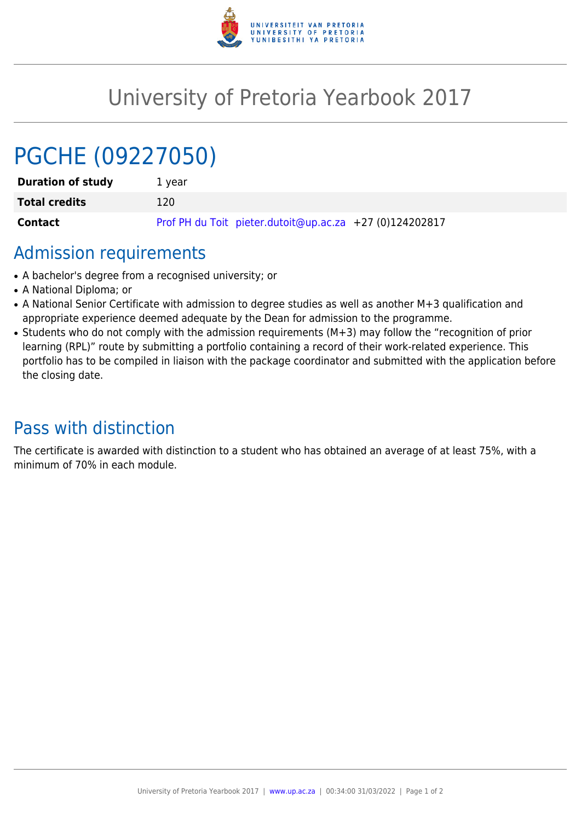

## University of Pretoria Yearbook 2017

# PGCHE (09227050)

| <b>Duration of study</b> | 1 vear                                                  |
|--------------------------|---------------------------------------------------------|
| <b>Total credits</b>     | 120.                                                    |
| <b>Contact</b>           | Prof PH du Toit pieter.dutoit@up.ac.za +27 (0)124202817 |

### Admission requirements

- A bachelor's degree from a recognised university; or
- A National Diploma: or
- A National Senior Certificate with admission to degree studies as well as another M+3 qualification and appropriate experience deemed adequate by the Dean for admission to the programme.
- Students who do not comply with the admission requirements (M+3) may follow the "recognition of prior learning (RPL)" route by submitting a portfolio containing a record of their work-related experience. This portfolio has to be compiled in liaison with the package coordinator and submitted with the application before the closing date.

### Pass with distinction

The certificate is awarded with distinction to a student who has obtained an average of at least 75%, with a minimum of 70% in each module.